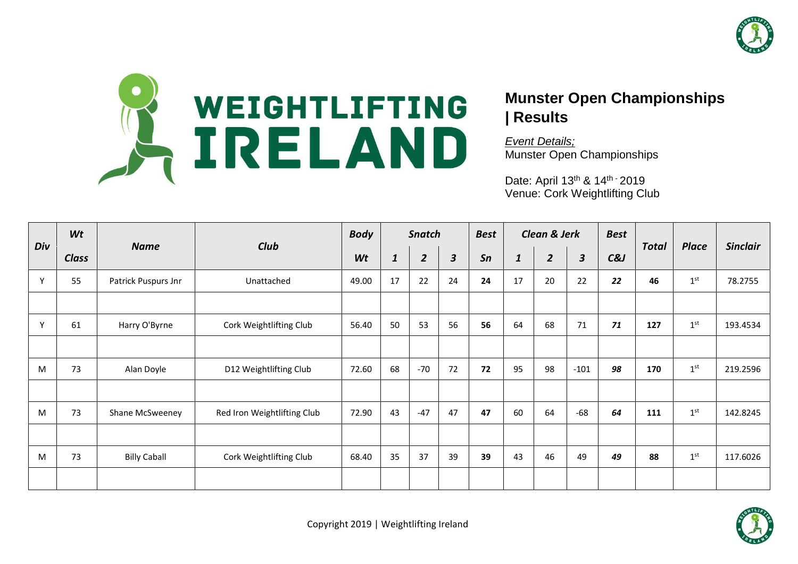



## **Munster Open Championships | Results**

*Event Details;* Munster Open Championships

Date: April 13<sup>th</sup> & 14<sup>th -</sup> 2019 Venue: Cork Weightlifting Club

|     | Wt           |                     |                             | <b>Body</b> |              | <b>Snatch</b>  |              | <b>Best</b> |              | <b>Clean &amp; Jerk</b> |              | <b>Best</b> |              | <b>Place</b><br>1 <sup>st</sup><br>1 <sup>st</sup><br>1 <sup>st</sup><br>1 <sup>st</sup> | <b>Sinclair</b> |
|-----|--------------|---------------------|-----------------------------|-------------|--------------|----------------|--------------|-------------|--------------|-------------------------|--------------|-------------|--------------|------------------------------------------------------------------------------------------|-----------------|
| Div | <b>Class</b> | <b>Name</b>         | Club                        | Wt          | $\mathbf{1}$ | $\overline{2}$ | $\mathbf{3}$ | Sn          | $\mathbf{1}$ | $\overline{2}$          | $\mathbf{3}$ | $C\&J$      | <b>Total</b> |                                                                                          |                 |
| Y   | 55           | Patrick Puspurs Jnr | Unattached                  | 49.00       | 17           | 22             | 24           | 24          | 17           | 20                      | 22           | 22          | 46           |                                                                                          | 78.2755         |
|     |              |                     |                             |             |              |                |              |             |              |                         |              |             |              |                                                                                          |                 |
| Y   | 61           | Harry O'Byrne       | Cork Weightlifting Club     | 56.40       | 50           | 53             | 56           | 56          | 64           | 68                      | 71           | 71          | 127          |                                                                                          | 193.4534        |
|     |              |                     |                             |             |              |                |              |             |              |                         |              |             |              |                                                                                          |                 |
| M   | 73           | Alan Doyle          | D12 Weightlifting Club      | 72.60       | 68           | $-70$          | 72           | 72          | 95           | 98                      | $-101$       | 98          | 170          |                                                                                          | 219.2596        |
|     |              |                     |                             |             |              |                |              |             |              |                         |              |             |              |                                                                                          |                 |
| M   | 73           | Shane McSweeney     | Red Iron Weightlifting Club | 72.90       | 43           | $-47$          | 47           | 47          | 60           | 64                      | $-68$        | 64          | 111          |                                                                                          | 142.8245        |
|     |              |                     |                             |             |              |                |              |             |              |                         |              |             |              |                                                                                          |                 |
| M   | 73           | <b>Billy Caball</b> | Cork Weightlifting Club     | 68.40       | 35           | 37             | 39           | 39          | 43           | 46                      | 49           | 49          | 88           | 1 <sup>st</sup>                                                                          | 117.6026        |
|     |              |                     |                             |             |              |                |              |             |              |                         |              |             |              |                                                                                          |                 |

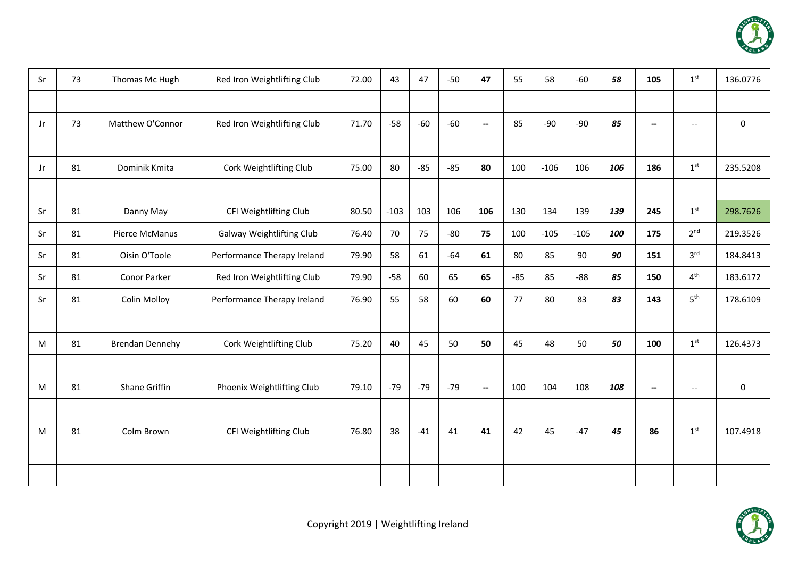

| Sr  | 73 | Thomas Mc Hugh         | Red Iron Weightlifting Club | 72.00 | 43     | 47    | $-50$ | 47                       | 55    | 58     | $-60$  | 58  | 105                      | 1 <sup>st</sup>          | 136.0776 |
|-----|----|------------------------|-----------------------------|-------|--------|-------|-------|--------------------------|-------|--------|--------|-----|--------------------------|--------------------------|----------|
|     |    |                        |                             |       |        |       |       |                          |       |        |        |     |                          |                          |          |
| Jr. | 73 | Matthew O'Connor       | Red Iron Weightlifting Club | 71.70 | $-58$  | $-60$ | $-60$ | $\overline{\phantom{a}}$ | 85    | $-90$  | $-90$  | 85  | $\overline{\phantom{a}}$ | $\overline{\phantom{0}}$ | 0        |
|     |    |                        |                             |       |        |       |       |                          |       |        |        |     |                          |                          |          |
| Jr  | 81 | Dominik Kmita          | Cork Weightlifting Club     | 75.00 | 80     | $-85$ | $-85$ | 80                       | 100   | $-106$ | 106    | 106 | 186                      | 1 <sup>st</sup>          | 235.5208 |
|     |    |                        |                             |       |        |       |       |                          |       |        |        |     |                          |                          |          |
| Sr  | 81 | Danny May              | CFI Weightlifting Club      | 80.50 | $-103$ | 103   | 106   | 106                      | 130   | 134    | 139    | 139 | 245                      | 1 <sup>st</sup>          | 298.7626 |
| Sr  | 81 | Pierce McManus         | Galway Weightlifting Club   | 76.40 | 70     | 75    | $-80$ | 75                       | 100   | $-105$ | $-105$ | 100 | 175                      | 2 <sup>nd</sup>          | 219.3526 |
| Sr  | 81 | Oisin O'Toole          | Performance Therapy Ireland | 79.90 | 58     | 61    | $-64$ | 61                       | 80    | 85     | 90     | 90  | 151                      | 3 <sup>rd</sup>          | 184.8413 |
| Sr  | 81 | Conor Parker           | Red Iron Weightlifting Club | 79.90 | $-58$  | 60    | 65    | 65                       | $-85$ | 85     | $-88$  | 85  | 150                      | 4 <sup>th</sup>          | 183.6172 |
| Sr  | 81 | <b>Colin Molloy</b>    | Performance Therapy Ireland | 76.90 | 55     | 58    | 60    | 60                       | 77    | 80     | 83     | 83  | 143                      | 5 <sup>th</sup>          | 178.6109 |
|     |    |                        |                             |       |        |       |       |                          |       |        |        |     |                          |                          |          |
| M   | 81 | <b>Brendan Dennehy</b> | Cork Weightlifting Club     | 75.20 | 40     | 45    | 50    | 50                       | 45    | 48     | 50     | 50  | 100                      | 1 <sup>st</sup>          | 126.4373 |
|     |    |                        |                             |       |        |       |       |                          |       |        |        |     |                          |                          |          |
| M   | 81 | Shane Griffin          | Phoenix Weightlifting Club  | 79.10 | $-79$  | $-79$ | $-79$ | $\overline{\phantom{a}}$ | 100   | 104    | 108    | 108 | $\overline{\phantom{a}}$ | $\overline{\phantom{0}}$ | 0        |
|     |    |                        |                             |       |        |       |       |                          |       |        |        |     |                          |                          |          |
| M   | 81 | Colm Brown             | CFI Weightlifting Club      | 76.80 | 38     | $-41$ | 41    | 41                       | 42    | 45     | $-47$  | 45  | 86                       | 1 <sup>st</sup>          | 107.4918 |
|     |    |                        |                             |       |        |       |       |                          |       |        |        |     |                          |                          |          |
|     |    |                        |                             |       |        |       |       |                          |       |        |        |     |                          |                          |          |

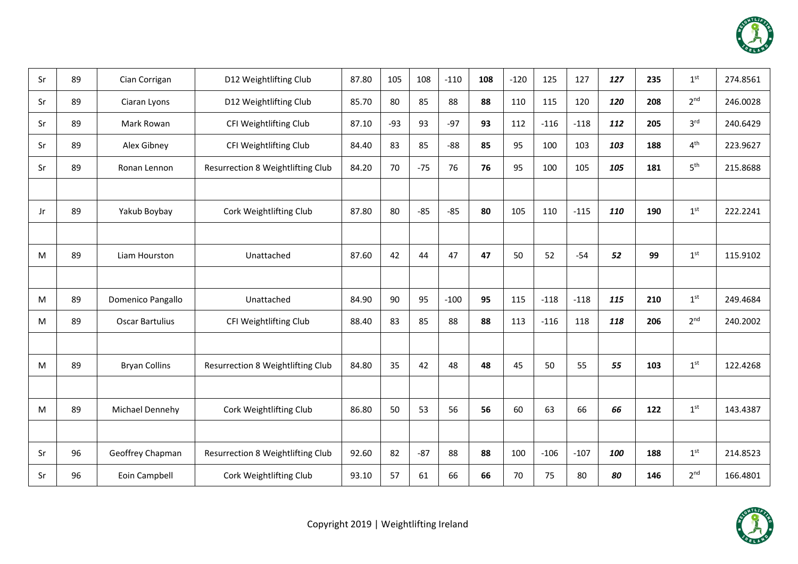

| Sr | 89 | Cian Corrigan          | D12 Weightlifting Club            | 87.80 | 105   | 108   | $-110$ | 108 | $-120$ | 125    | 127    | 127        | 235 | 1 <sup>st</sup> | 274.8561 |
|----|----|------------------------|-----------------------------------|-------|-------|-------|--------|-----|--------|--------|--------|------------|-----|-----------------|----------|
| Sr | 89 | Ciaran Lyons           | D12 Weightlifting Club            | 85.70 | 80    | 85    | 88     | 88  | 110    | 115    | 120    | 120        | 208 | 2 <sup>nd</sup> | 246.0028 |
| Sr | 89 | Mark Rowan             | CFI Weightlifting Club            | 87.10 | $-93$ | 93    | $-97$  | 93  | 112    | $-116$ | $-118$ | 112        | 205 | 3 <sup>rd</sup> | 240.6429 |
| Sr | 89 | Alex Gibney            | CFI Weightlifting Club            | 84.40 | 83    | 85    | $-88$  | 85  | 95     | 100    | 103    | 103        | 188 | 4 <sup>th</sup> | 223.9627 |
| Sr | 89 | Ronan Lennon           | Resurrection 8 Weightlifting Club | 84.20 | 70    | $-75$ | 76     | 76  | 95     | 100    | 105    | 105        | 181 | 5 <sup>th</sup> | 215.8688 |
|    |    |                        |                                   |       |       |       |        |     |        |        |        |            |     |                 |          |
| Jr | 89 | Yakub Boybay           | Cork Weightlifting Club           | 87.80 | 80    | $-85$ | $-85$  | 80  | 105    | 110    | $-115$ | <b>110</b> | 190 | 1 <sup>st</sup> | 222.2241 |
|    |    |                        |                                   |       |       |       |        |     |        |        |        |            |     |                 |          |
| M  | 89 | Liam Hourston          | Unattached                        | 87.60 | 42    | 44    | 47     | 47  | 50     | 52     | $-54$  | 52         | 99  | 1 <sup>st</sup> | 115.9102 |
|    |    |                        |                                   |       |       |       |        |     |        |        |        |            |     |                 |          |
| M  | 89 | Domenico Pangallo      | Unattached                        | 84.90 | 90    | 95    | $-100$ | 95  | 115    | $-118$ | $-118$ | 115        | 210 | 1 <sup>st</sup> | 249.4684 |
| M  | 89 | <b>Oscar Bartulius</b> | CFI Weightlifting Club            | 88.40 | 83    | 85    | 88     | 88  | 113    | $-116$ | 118    | 118        | 206 | 2 <sup>nd</sup> | 240.2002 |
|    |    |                        |                                   |       |       |       |        |     |        |        |        |            |     |                 |          |
| M  | 89 | <b>Bryan Collins</b>   | Resurrection 8 Weightlifting Club | 84.80 | 35    | 42    | 48     | 48  | 45     | 50     | 55     | 55         | 103 | 1 <sup>st</sup> | 122.4268 |
|    |    |                        |                                   |       |       |       |        |     |        |        |        |            |     |                 |          |
| M  | 89 | Michael Dennehy        | Cork Weightlifting Club           | 86.80 | 50    | 53    | 56     | 56  | 60     | 63     | 66     | 66         | 122 | 1 <sup>st</sup> | 143.4387 |
|    |    |                        |                                   |       |       |       |        |     |        |        |        |            |     |                 |          |
| Sr | 96 | Geoffrey Chapman       | Resurrection 8 Weightlifting Club | 92.60 | 82    | $-87$ | 88     | 88  | 100    | $-106$ | $-107$ | 100        | 188 | 1 <sup>st</sup> | 214.8523 |
| Sr | 96 | Eoin Campbell          | Cork Weightlifting Club           | 93.10 | 57    | 61    | 66     | 66  | 70     | 75     | 80     | 80         | 146 | 2 <sup>nd</sup> | 166.4801 |